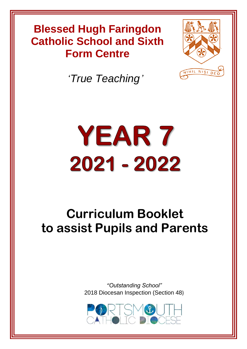# **Blessed Hugh Faringdon Catholic School and Sixth Form Centre**

*'True Teaching'*



# YEAR 7 2021 - 2022

# **Curriculum Booklet to assist Pupils and Parents**

*"Outstanding School"* 2018 Diocesan Inspection (Section 48)

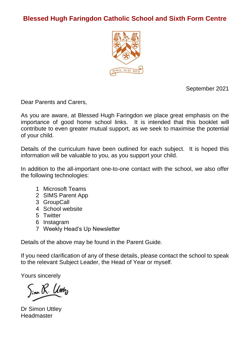# **Blessed Hugh Faringdon Catholic School and Sixth Form Centre**



September 2021

Dear Parents and Carers,

As you are aware, at Blessed Hugh Faringdon we place great emphasis on the importance of good home school links. It is intended that this booklet will contribute to even greater mutual support, as we seek to maximise the potential of your child.

Details of the curriculum have been outlined for each subject. It is hoped this information will be valuable to you, as you support your child.

In addition to the all-important one-to-one contact with the school, we also offer the following technologies:

- 1 Microsoft Teams
- 2 SIMS Parent App
- 3 GroupCall
- 4 School website
- 5 Twitter
- 6 Instagram
- 7 Weekly Head's Up Newsletter

Details of the above may be found in the Parent Guide.

If you need clarification of any of these details, please contact the school to speak to the relevant Subject Leader, the Head of Year or myself.

Yours sincerely

Dr Simon Uttley **Headmaster**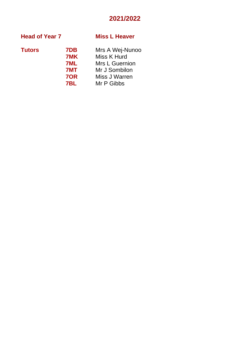# **2021/2022**

# **Head of Year 7 Miss L Heaver**

| ۰.<br>M.<br>۰.<br>v<br>×<br>M.<br>٧ |
|-------------------------------------|
|-------------------------------------|

**Tutors 7DB** Mrs A Wej-Nunoo

| .   | 1              |
|-----|----------------|
| 7MK | Miss K Hurd    |
| 7ML | Mrs L Guernion |
| 7MT | Mr J Sombilon  |
| 70R | Miss J Warren  |
| 7BL | Mr P Gibbs     |
|     |                |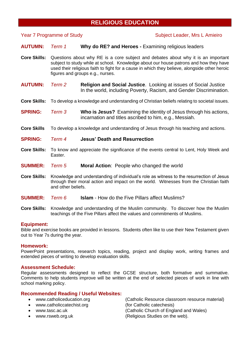# **RELIGIOUS EDUCATION**

# **Year 7 Programme of Study Subject Leader, Mrs L Amieiro**

**AUTUMN:** *Term 1* **Why do RE? and Heroes -** Examining religious leaders

- **Core Skills:** Questions about why RE is a core subject and debates about why it is an important subject to study while at school. Knowledge about our house patrons and how they have used their religious faith to fight for a cause in which they believe, alongside other heroic figures and groups e.g., nurses.
- **AUTUMN:** *Term 2* **Religion and Social Justice**. Looking at issues of Social Justice In the world, including Poverty, Racism, and Gender Discrimination.
- **Core Skills:** To develop a knowledge and understanding of Christian beliefs relating to societal issues.
- **SPRING:** *Term 3* **Who is Jesus?** Examining the identity of Jesus through his actions, incarnation and titles ascribed to him, e.g., Messiah.
- **Core Skills** To develop a knowledge and understanding of Jesus through his teaching and actions.
- **SPRING:** *Term 4* **Jesus' Death and Resurrection**
- **Core Skills:** To know and appreciate the significance of the events central to Lent, Holy Week and Easter.
- **SUMMER:** *Term 5* **Moral Action**: People who changed the world
- **Core Skills:** Knowledge and understanding of individual's role as witness to the resurrection of Jesus through their moral action and impact on the world. Witnesses from the Christian faith and other beliefs.
- **SUMMER:** *Term 6* **Islam** How do the Five Pillars affect Muslims?
- **Core Skills:** Knowledge and understanding of the Muslim community. To discover how the Muslim teachings of the Five Pillars affect the values and commitments of Muslims.

# **Equipment:**

Bible and exercise books are provided in lessons. Students often like to use their New Testament given out to Year 7s during the year.

# **Homework:**

PowerPoint presentations, research topics, reading, project and display work, writing frames and extended pieces of writing to develop evaluation skills.

# **Assessment Schedule:**

Regular assessments designed to reflect the GCSE structure, both formative and summative. Comments to help students improve will be written at the end of selected pieces of work in line with school marking policy.

# **Recommended Reading / Useful Websites:**

- 
- [www.catholiccatechist.org](http://www.catholiccatechist.org/) (for Catholic catechesis)
- 
- 

• [www.catholiceducation.org](http://www.catholiceducation.org/) (Catholic Resource classroom resource material) • [www.tasc.ac.uk](http://www.tasc.ac.uk/) (Catholic Church of England and Wales) [www.rsweb.org.uk](http://www.rsweb.org.uk/) (Religious Studies on the web).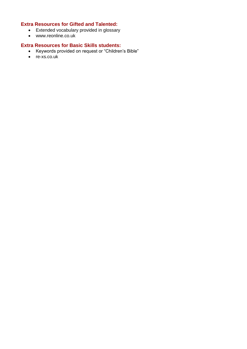# **Extra Resources for Gifted and Talented:**

- Extended vocabulary provided in glossary
- [www.reonline.co.uk](http://www.reonline.co.uk/)

- Keywords provided on request or "Children's Bible"
- re-xs.co.uk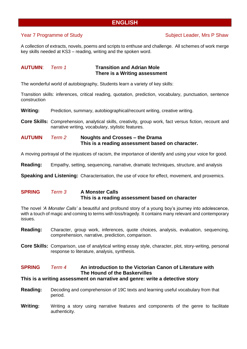# **ENGLISH**

# Year 7 Programme of Study Nearly Subject Leader, Mrs P Shaw

A collection of extracts, novels, poems and scripts to enthuse and challenge. All schemes of work merge key skills needed at KS3 – reading, writing and the spoken word.

# **AUTUMN**: *Term 1* **Transition and Adrian Mole There is a Writing assessment**

The wonderful world of autobiography, Students learn a variety of key skills:

Transition skills: inferences, critical reading, quotation, prediction, vocabulary, punctuation, sentence construction

**Writing:** Prediction, summary, autobiographical/recount writing, creative writing.

**Core Skills:** Comprehension, analytical skills, creativity, group work, fact versus fiction, recount and narrative writing, vocabulary, stylistic features.

**AUTUMN** *Term 2* **Noughts and Crosses – the Drama This is a reading assessment based on character.**

A moving portrayal of the injustices of racism, the importance of identify and using your voice for good.

**Reading:** Empathy, setting, sequencing, narrative, dramatic techniques, structure, and analysis

**Speaking and Listening:** Characterisation, the use of voice for effect, movement, and proxemics.

# **SPRING** *Term 3* **A Monster Calls This is a reading assessment based on character**

The novel *'A Monster Calls'* a beautiful and profound story of a young boy's journey into adolescence, with a touch of magic and coming to terms with loss/tragedy. It contains many relevant and contemporary issues.

- **Reading:** Character, group work, inferences, quote choices, analysis, evaluation, sequencing, comprehension, narrative, prediction, comparison.
- **Core Skills:** Comparison, use of analytical writing essay style, character, plot, story-writing, personal response to literature, analysis, synthesis.

# **SPRING** *Term 4* **An introduction to the Victorian Canon of Literature with The Hound of the Baskervilles**

# **This is a writing assessment on narrative and genre: write a detective story**

- **Reading:** Decoding and comprehension of 19C texts and learning useful vocabulary from that period.
- **Writing:** Writing a story using narrative features and components of the genre to facilitate authenticity.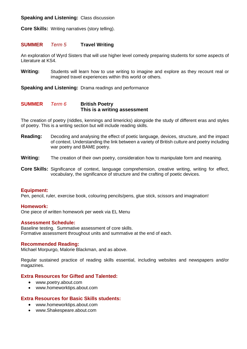# **Speaking and Listening:** Class discussion

**Core Skills:** Writing narratives (story telling).

# **SUMMER** *Term 5* **Travel Writing**

An exploration of Wyrd Sisters that will use higher level comedy preparing students for some aspects of Literature at KS4.

**Writing:** Students will learn how to use writing to imagine and explore as they recount real or imagined travel experiences within this world or others.

**Speaking and Listening:** Drama readings and performance

# **SUMMER** *Term 6* **British Poetry This is a writing assessment**

The creation of poetry (riddles, kennings and limericks) alongside the study of different eras and styles of poetry. This is a writing section but will include reading skills.

- **Reading:** Decoding and analysing the effect of poetic language, devices, structure, and the impact of context. Understanding the link between a variety of British culture and poetry including war poetry and BAME poetry.
- **Writing:** The creation of their own poetry, consideration how to manipulate form and meaning.
- **Core Skills:** Significance of context, language comprehension, creative writing, writing for effect, vocabulary, the significance of structure and the crafting of poetic devices.

# **Equipment:**

Pen, pencil, ruler, exercise book, colouring pencils/pens, glue stick, scissors and imagination!

# **Homework:**

One piece of written homework per week via EL Menu

# **Assessment Schedule:**

Baseline testing. Summative assessment of core skills. Formative assessment throughout units and summative at the end of each.

# **Recommended Reading:**

Michael Morpurgo, Malorie Blackman, and as above.

Regular sustained practice of reading skills essential, including websites and newspapers and/or magazines.

# **Extra Resources for Gifted and Talented:**

- [www.poetry.about.com](http://www.poetry.about.com/)
- www.homeworktips.about.com

- [www.homeworktips.about.com](http://www.homeworktips.about.com/)
- www.Shakespeare.about.com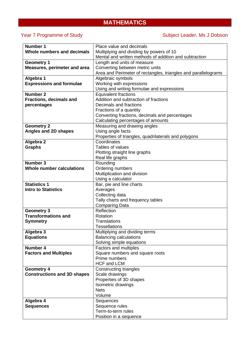# **MATHEMATICS**

# Year 7 Programme of Study Near 7 Programme of Study Subject Leader, Ms J Dobson

| <b>Number 1</b>                    | Place value and decimals                                       |  |  |  |
|------------------------------------|----------------------------------------------------------------|--|--|--|
| Whole numbers and decimals         | Multiplying and dividing by powers of 10                       |  |  |  |
|                                    | Mental and written methods of addition and subtraction         |  |  |  |
| <b>Geometry 1</b>                  | Length and units of measure                                    |  |  |  |
| Measures, perimeter and area       | Converting between metric units                                |  |  |  |
|                                    | Area and Perimeter of rectangles, triangles and parallelograms |  |  |  |
| Algebra 1                          | Algebraic symbols                                              |  |  |  |
| <b>Expressions and formulae</b>    | Working with expressions                                       |  |  |  |
|                                    | Using and writing formulae and expressions                     |  |  |  |
| Number 2                           | <b>Equivalent fractions</b>                                    |  |  |  |
| <b>Fractions, decimals and</b>     | Addition and subtraction of fractions                          |  |  |  |
| percentages                        | Decimals and fractions                                         |  |  |  |
|                                    | Fractions of a quantity                                        |  |  |  |
|                                    | Converting fractions, decimals and percentages                 |  |  |  |
|                                    | Calculating percentages of amounts                             |  |  |  |
| <b>Geometry 2</b>                  | Measuring and drawing angles                                   |  |  |  |
| Angles and 2D shapes               | Using angle facts                                              |  |  |  |
|                                    | Properties of triangles, quadrilaterals and polygons           |  |  |  |
| Algebra 2                          | Coordinates                                                    |  |  |  |
| <b>Graphs</b>                      | Tables of values                                               |  |  |  |
|                                    | Plotting straight line graphs                                  |  |  |  |
|                                    | Real life graphs                                               |  |  |  |
| <b>Number 3</b>                    | Rounding                                                       |  |  |  |
| Whole number calculations          | Ordering numbers                                               |  |  |  |
|                                    | Multiplication and division                                    |  |  |  |
|                                    | Using a calculator                                             |  |  |  |
| <b>Statistics 1</b>                | Bar, pie and line charts                                       |  |  |  |
| <b>Intro to Statistics</b>         | Averages                                                       |  |  |  |
|                                    | Collecting data                                                |  |  |  |
|                                    | Tally charts and frequency tables                              |  |  |  |
|                                    | <b>Comparing Data</b>                                          |  |  |  |
| <b>Geometry 3</b>                  | Reflection                                                     |  |  |  |
| <b>Transformations and</b>         | Rotation                                                       |  |  |  |
| <b>Symmetry</b>                    | <b>Translations</b>                                            |  |  |  |
|                                    | <b>Tessellations</b>                                           |  |  |  |
| Algebra 3                          | Multiplying and dividing terms                                 |  |  |  |
| <b>Equations</b>                   | <b>Balancing calculations</b>                                  |  |  |  |
|                                    | Solving simple equations                                       |  |  |  |
| Number 4                           | Factors and multiples                                          |  |  |  |
| <b>Factors and Multiples</b>       | Square numbers and square roots                                |  |  |  |
|                                    | Prime numbers                                                  |  |  |  |
|                                    | <b>HCF and LCM</b>                                             |  |  |  |
| <b>Geometry 4</b>                  | Constructing triangles                                         |  |  |  |
| <b>Constructions and 3D shapes</b> | Scale drawings                                                 |  |  |  |
|                                    | Properties of 3D shapes                                        |  |  |  |
|                                    | Isometric drawings                                             |  |  |  |
|                                    | <b>Nets</b>                                                    |  |  |  |
|                                    | Volume                                                         |  |  |  |
| Algebra 4                          | Sequences                                                      |  |  |  |
| <b>Sequences</b>                   | Sequence rules                                                 |  |  |  |
|                                    | Term-to-term rules                                             |  |  |  |
|                                    | Position in a sequence                                         |  |  |  |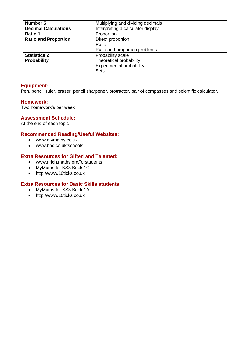| Number 5                    | Multiplying and dividing decimals |  |  |
|-----------------------------|-----------------------------------|--|--|
| <b>Decimal Calculations</b> | Interpreting a calculator display |  |  |
| Ratio 1                     | Proportion                        |  |  |
| <b>Ratio and Proportion</b> | Direct proportion                 |  |  |
|                             | Ratio                             |  |  |
|                             | Ratio and proportion problems     |  |  |
| <b>Statistics 2</b>         | Probability scale                 |  |  |
| Probability                 | Theoretical probability           |  |  |
|                             | Experimental probability          |  |  |
|                             | <b>Sets</b>                       |  |  |

# **Equipment:**

Pen, pencil, ruler, eraser, pencil sharpener, protractor, pair of compasses and scientific calculator.

# **Homework:**

Two homework's per week

# **Assessment Schedule:**

At the end of each topic

# **Recommended Reading/Useful Websites:**

- www.mymaths.co.uk
- www.bbc.co.uk/schools

# **Extra Resources for Gifted and Talented:**

- www.nrich.maths.org/forstudents
- MyMaths for KS3 Book 1C
- [http://www.10ticks.co.uk](http://www.10ticks.co.uk/)

- MyMaths for KS3 Book 1A
- [http://www.10ticks.co.uk](http://www.10ticks.co.uk/)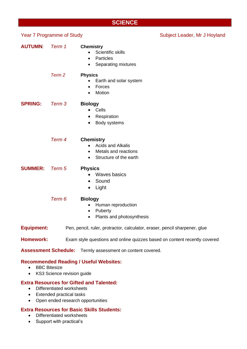# **SCIENCE**

| <b>Year 7 Programme of Study</b> |                   |                                                                                                                                       | Subject Leader, Mr J Hoyland |
|----------------------------------|-------------------|---------------------------------------------------------------------------------------------------------------------------------------|------------------------------|
| <b>AUTUMN:</b>                   | Term 1            | <b>Chemistry</b><br>Scientific skills<br>$\bullet$<br>Particles<br>$\bullet$<br>Separating mixtures<br>$\bullet$                      |                              |
|                                  | Term <sub>2</sub> | <b>Physics</b><br>Earth and solar system<br>$\bullet$<br>Forces<br>$\bullet$<br>Motion<br>٠                                           |                              |
| <b>SPRING:</b>                   | Term 3            | <b>Biology</b><br>Cells<br>$\bullet$<br>Respiration<br>٠<br>Body systems<br>$\bullet$                                                 |                              |
|                                  | Term 4            | <b>Chemistry</b><br><b>Acids and Alkalis</b><br>$\bullet$<br>Metals and reactions<br>$\bullet$<br>Structure of the earth<br>$\bullet$ |                              |
| <b>SUMMER:</b>                   | Term 5            | <b>Physics</b><br><b>Waves basics</b><br>$\bullet$<br>Sound<br>$\bullet$<br>Light<br>$\bullet$                                        |                              |
|                                  | Term 6            | <b>Biology</b><br>Human reproduction<br>$\bullet$<br>Puberty<br>$\bullet$<br>Plants and photosynthesis<br>$\bullet$                   |                              |
| <b>Equipment:</b>                |                   | Pen, pencil, ruler, protractor, calculator, eraser, pencil sharpener, glue                                                            |                              |
| <b>Homework:</b>                 |                   | Exam style questions and online quizzes based on content recently covered                                                             |                              |
| <b>Assessment Schedule:</b>      |                   | Termly assessment on content covered.                                                                                                 |                              |

# **Recommended Reading / Useful Websites:**

- BBC Bitesize
- KS3 Science revision guide

# **Extra Resources for Gifted and Talented:**

- Differentiated worksheets
- Extended practical tasks
- Open ended research opportunities

- Differentiated worksheets
- Support with practical's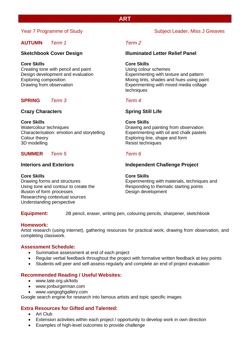# **AUTUMN** *Term 1 Term 2*

# **Core Skills Core Skills**

Creating tone with pencil and paint Using colour schemes

# **SPRING** *Term 3 Term 4*

# **Crazy Characters Spring Still Life**

# **Core Skills Core Skills**

Watercolour techniques **Drawing and painting from observation** Characterisation: emotion and storytelling Experimenting with oil and chalk pastels Colour theory Exploring line, shape and form 3D modelling and the contract of the Resist techniques

# **SUMMER** *Term 5 Term 6*

# **Core Skills Core Skills**

illusion of form processes Design development Researching contextual sources Understanding perspective

# Year 7 Programme of Study Near 7 Programme of Study Subject Leader, Miss J Greaves

# **Sketchbook Cover Design Illuminated Letter Relief Panel**

Design development and evaluation Experimenting with texture and pattern Exploring composition Mixing tints, shades and hues using paint Drawing from observation Experimenting with mixed media collage techniques

# **Interiors and Exteriors Independent Challenge Project**

Drawing forms and structures Experimenting with materials, techniques and Using tone and contour to create the Responding to thematic starting points

**Equipment:** 2B pencil, eraser, writing pen, colouring pencils, sharpener, sketchbook

# **Homework:**

Artist research (using internet), gathering resources for practical work, drawing from observation, and completing classwork.

# **Assessment Schedule:**

- Summative assessment at end of each project
- Regular verbal feedback throughout the project with formative written feedback at key points
- Students will peer and self-assess regularly and complete an end of project evaluation

# **Recommended Reading / Useful Websites:**

- [www.tate.org.uk/](http://www.tate.org.uk/)kids
- [www.jonburgerman.com](http://www.jonburgerman.com/)
- www.vangoghgallery.com

Google search engine for research into famous artists and topic specific images

# **Extra Resources for Gifted and Talented:**

- Art Club
- Extension activities within each project / opportunity to develop work in own direction
- Examples of high-level outcomes to provide challenge

# **ART**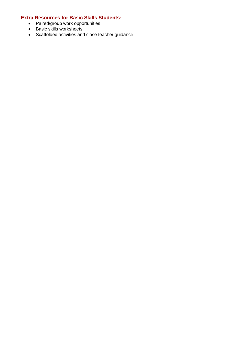- Paired/group work opportunities
- Basic skills worksheets
- Scaffolded activities and close teacher guidance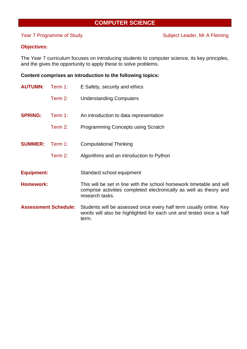# **COMPUTER SCIENCE**

# **Objectives:**

The Year 7 curriculum focuses on introducing students to computer science, its key principles, and the gives the opportunity to apply these to solve problems.

# **Content comprises an introduction to the following topics:**

| <b>AUTUMN:</b>              | Term 1: | E Safety, security and ethics                                                                                                                                 |
|-----------------------------|---------|---------------------------------------------------------------------------------------------------------------------------------------------------------------|
|                             | Term 2: | <b>Understanding Computers</b>                                                                                                                                |
| <b>SPRING:</b>              | Term 1: | An introduction to data representation                                                                                                                        |
|                             | Term 2: | <b>Programming Concepts using Scratch</b>                                                                                                                     |
| <b>SUMMER:</b>              | Term 1: | <b>Computational Thinking</b>                                                                                                                                 |
|                             | Term 2: | Algorithms and an introduction to Python                                                                                                                      |
| <b>Equipment:</b>           |         | Standard school equipment                                                                                                                                     |
| <b>Homework:</b>            |         | This will be set in line with the school homework timetable and will<br>comprise activities completed electronically as well as theory and<br>research tasks. |
| <b>Assessment Schedule:</b> |         | Students will be assessed once every half term usually online. Key<br>words will also be highlighted for each unit and tested once a half<br>term.            |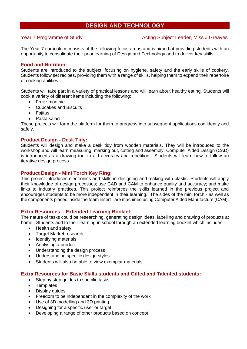# **DESIGN AND TECHNOLOGY**

# Year 7 Programme of Study Network Acting Subject Leader, Miss J Greaves

The Year 7 curriculum consists of the following focus areas and is aimed at providing students with an opportunity to consolidate their prior learning of Design and Technology and to deliver key skills.

# **Food and Nutrition:**

Students are introduced to the subject, focusing on hygiene, safety and the early skills of cookery. Students follow set recipes, providing them with a range of skills, helping them to expand their repertoire of cooking abilities.

Students will take part in a variety of practical lessons and will learn about healthy eating. Students will cook a variety of different items including the following:

- Fruit smoothie
- Cupcakes and Biscuits
- Fajitas
- Pasta salad

These projects will form the platform for them to progress into subsequent applications confidently and safely.

# **Product Design - Desk Tidy:**

Students will design and make a desk tidy from wooden materials. They will be introduced to the workshop and will learn measuring, marking out, cutting and assembly. Computer Aided Design (CAD) is introduced as a drawing tool to aid accuracy and repetition. Students will learn how to follow an iterative design process.

# **Product Design - Mini Torch Key Ring:**

This project introduces electronics and skills in designing and making with plastic. Students will apply their knowledge of design processes; use CAD and CAM to enhance quality and accuracy; and make links to industry practices. This project reinforces the skills learned in the previous project and encourages students to be more independent in their learning. The sides of the mini torch - as well as the components placed inside the foam insert - are machined using Computer Aided Manufacture (CAM).

# **Extra Resources – Extended Learning Booklet:**

The nature of tasks could be researching, generating design ideas, labelling and drawing of products at home. Students add to their learning in school through an extended learning booklet which includes:

- Health and safety
- Target Market research
- Identifying materials
- Analysing a product
- Understanding the design process
- Understanding specific design styles
- Students will also be able to view exemplar materials

# **Extra Resources for Basic Skills students and Gifted and Talented students:**

- Step by step guides to specific tasks
- **Templates**
- Display guides
- Freedom to be independent in the complexity of the work
- Use of 3D modelling and 3D printing
- Designing for a specific user or target
- Developing a range of other products based on concept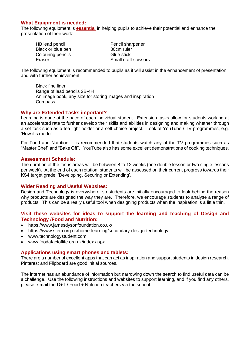# **What Equipment is needed:**

The following equipment is **essential** in helping pupils to achieve their potential and enhance the presentation of their work:

| HB lead pencil    | Pencil sharpener     |
|-------------------|----------------------|
| Black or blue pen | 30cm ruler           |
| Colouring pencils | Glue stick           |
| Eraser            | Small craft scissors |

The following equipment is recommended to pupils as it will assist in the enhancement of presentation and with further achievement:

Black fine liner Range of lead pencils 2B-4H An image book, any size for storing images and inspiration Compass

# **Why are Extended Tasks important?**

Learning is done at the pace of each individual student. Extension tasks allow for students working at an accelerated rate to further develop their skills and abilities in designing and making whether through a set task such as a tea light holder or a self-choice project. Look at YouTube / TV programmes, e.g. 'How it's made'

For Food and Nutrition, it is recommended that students watch any of the TV programmes such as "Master Chef" and "Bake Off". YouTube also has some excellent demonstrations of cooking techniques.

# **Assessment Schedule:**

The duration of the focus areas will be between 8 to 12 weeks (one double lesson or two single lessons per week). At the end of each rotation, students will be assessed on their current progress towards their KS4 target grade: 'Developing, Securing or Extending'.

# **Wider Reading and Useful Websites:**

Design and Technology is everywhere, so students are initially encouraged to look behind the reason why products are designed the way they are. Therefore, we encourage students to analyse a range of products. This can be a really useful tool when designing products when the inspiration is a little thin.

# **Visit these websites for ideas to support the learning and teaching of Design and Technology /Food and Nutrition:**

- https://www.jamesdysonfoundation.co.uk/
- https://www.stem.org.uk/home-learning/secondary-design-technology
- [www.technologystudent.com](http://www.technologystudent.com/)
- www.foodafactoflife.org.uk/index.aspx

# **Applications using smart phones and tablets:**

There are a number of excellent apps that can act as inspiration and support students in design research. Pinterest and Flipboard are good initial sources.

The internet has an abundance of information but narrowing down the search to find useful data can be a challenge. Use the following instructions and websites to support learning, and if you find any others, please e-mail the D+T / Food + Nutrition teachers via the school.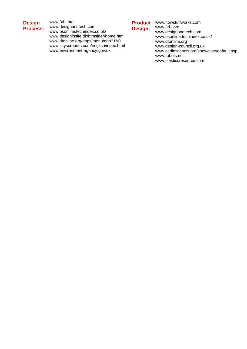# **Design Process:**

www.3d-i.org [www.designandtech.com](http://www.designandtech.com/) [www.bsonline.techindex.co.uk/](http://www.bsonline.techindex.co.uk/) [www.designinsite.dk/htmsider/home.htm](http://www.designinsite.dk/htmsider/home.htm) [www.dtonline.org/apps/menu/app?1&0](http://www.dtonline.org/apps/menu/app?1&0) [www.skyscrapers.com/english/index.html](http://www.skyscrapers.com/english/index.html) [www.environment-agency.gov.uk](http://www.environment-agency.gov.uk/)

**Design:**

**Product**  www.howstuffworks.com [www.3d-i.org](http://www.3d-i.org/) [www.designandtech.com](http://www.designandtech.com/) [www.bsonline.techindex.co.uk/](http://www.bsonline.techindex.co.uk/) [www.dtonline.org](http://www.dtonline.org/) [www.design-council.org.uk](http://www.design-council.org.uk/) [www.cadinschools.org/showcase/default.asp](http://www.cadinschools.org/showcase/default.asp) [www.robots.net](http://www.robots.net/) [www.plasticsresource.com](http://www.plasticsresource.com/)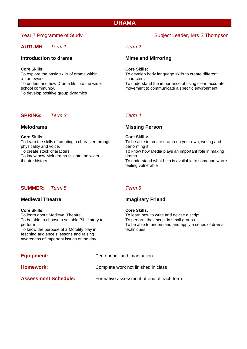# **DRAMA**

# **AUTUMN**: *Term 1 Term 2*

# **Introduction to drama Mime and Mirroring**

## **Core Skills: Core Skills:**

To explore the basic skills of drama within To develop body language skills to create different a framework. The characters of the characters of the characters To develop positive group dynamics

# **SPRING:** *Term 3 Term 4*

**Core Skills: Core Skills:** physicality and voice. physicality and voice. To know how Melodrama fits into the wider drama<br>theatre history To under

# Year 7 Programme of Study Subject Leader, Mrs S Thompson

To understand how Drama fits into the wider To understand the importance of using clear, accurate school community. The school community environment to communicate a specific environment

# **Melodrama Missing Person**

To learn the skills of creating a character through To be able to create drama on your own, writing and To create stock characters To know how Media plays an important role in making To understand what help is available to someone who is feeling vulnerable

# **SUMMER:** *Term 5 Term 6*

# **Core Skills: Core Skills:** To learn about Medieval Theatre Theatre To learn how to write and devise a script To be able to choose a suitable Bible story to To perform their script in small groups To know the purpose of a Morality play in techniques

teaching audience's lessons and raising awareness of important issues of the day

# **Medieval Theatre Imaginary Friend**

perform To be able to understand and apply a series of drama

| Equipment:                  | Pen / pencil and imagination             |  |  |
|-----------------------------|------------------------------------------|--|--|
| Homework:                   | Complete work not finished in class      |  |  |
| <b>Assessment Schedule:</b> | Formative assessment at end of each term |  |  |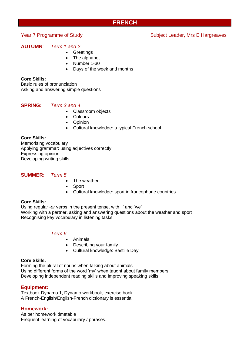# **FRENCH**

# **AUTUMN**: *Term 1 and 2*

- Greetings
- The alphabet
- Number 1-30
- Days of the week and months

# **Core Skills:**

Basic rules of pronunciation Asking and answering simple questions

# **SPRING:** *Term 3 and 4*

- Classroom objects
- Colours
- Opinion
- Cultural knowledge: a typical French school

# **Core Skills:**

Memorising vocabulary Applying grammar: using adjectives correctly Expressing opinion Developing writing skills

# **SUMMER:** *Term 5*

- The weather
- Sport
- Cultural knowledge: sport in francophone countries

# **Core Skills:**

Using regular *-er* verbs in the present tense, with 'I' and 'we' Working with a partner, asking and answering questions about the weather and sport Recognising key vocabulary in listening tasks

# *Term 6*

- Animals
- Describing your family
- Cultural knowledge: Bastille Day

# **Core Skills:**

Forming the plural of nouns when talking about animals Using different forms of the word 'my' when taught about family members Developing independent reading skills and improving speaking skills.

# **Equipment:**

Textbook Dynamo 1, Dynamo workbook, exercise book A French-English/English-French dictionary is essential

# **Homework:**

As per homework timetable Frequent learning of vocabulary / phrases.

# Year 7 Programme of Study Network Subject Leader, Mrs E Hargreaves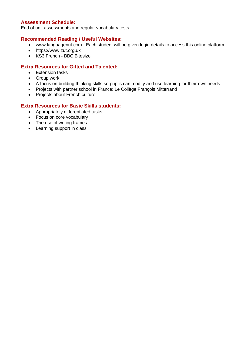# **Assessment Schedule:**

End of unit assessments and regular vocabulary tests

# **Recommended Reading / Useful Websites:**

- www.languagenut.com Each student will be given login details to access this online platform.
- https://www.zut.org.uk
- KS3 French BBC Bitesize

# **Extra Resources for Gifted and Talented:**

- Extension tasks
- Group work
- A focus on building thinking skills so pupils can modify and use learning for their own needs
- Projects with partner school in France: Le Collège François Mitterrand
- Projects about French culture

- Appropriately differentiated tasks
- Focus on core vocabulary
- The use of writing frames
- Learning support in class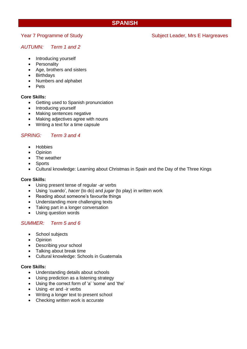# **SPANISH**

# *AUTUMN: Term 1 and 2*

- Introducing yourself
- **Personality**
- Age, brothers and sisters
- **Birthdays**
- Numbers and alphabet
- Pets

# **Core Skills:**

- Getting used to Spanish pronunciation
- Introducing yourself
- Making sentences negative
- Making adjectives agree with nouns
- Writing a text for a time capsule

# *SPRING: Term 3 and 4*

- Hobbies
- Opinion
- The weather
- Sports
- Cultural knowledge: Learning about Christmas in Spain and the Day of the Three Kings

# **Core Skills:**

- Using present tense of regular *-ar* verbs
- Using 'cuando', *hacer* (to do) and *jugar* (to play) in written work
- Reading about someone's favourite things
- Understanding more challenging texts
- Taking part in a longer conversation
- Using question words

# *SUMMER: Term 5 and 6*

- School subjects
- Opinion
- Describing your school
- Talking about break time
- Cultural knowledge: Schools in Guatemala

# **Core Skills:**

- Understanding details about schools
- Using prediction as a listening strategy
- Using the correct form of 'a' 'some' and 'the'
- Using -er and -ir verbs
- Writing a longer text to present school
- Checking written work is accurate

# Year 7 Programme of Study Network Subject Leader, Mrs E Hargreaves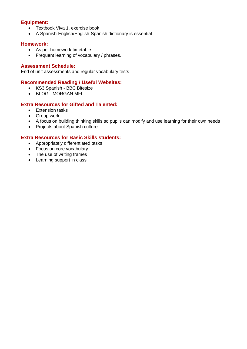# **Equipment:**

- Textbook Viva 1, exercise book
- A Spanish-English/English-Spanish dictionary is essential

# **Homework:**

- As per homework timetable
- Frequent learning of vocabulary / phrases.

# **Assessment Schedule:**

End of unit assessments and regular vocabulary tests

# **Recommended Reading / Useful Websites:**

- [KS3 Spanish -](https://www.bbc.co.uk/bitesize/subjects/zfckjxs) BBC Bitesize
- BLOG [MORGAN MFL](https://www.morganmfl.com/blog/y7-spanish-revision)

# **Extra Resources for Gifted and Talented:**

- Extension tasks
- Group work
- A focus on building thinking skills so pupils can modify and use learning for their own needs
- Projects about Spanish culture

- Appropriately differentiated tasks
- Focus on core vocabulary
- The use of writing frames
- Learning support in class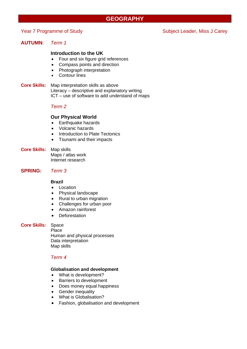# **GEOGRAPHY**

# Year 7 Programme of Study Subject Leader, Miss J Carey

# **AUTUMN**: *Term 1*

# **Introduction to the UK**

- Four and six figure grid references
- Compass points and direction
- Photograph interpretation
- Contour lines
- **Core Skills:** Map interpretation skills as above Literacy – descriptive and explanatory writing ICT – use of software to add understand of maps

# *Term 2*

# **Our Physical World**

- Earthquake hazards
- Volcanic hazards
- Introduction to Plate Tectonics
- Tsunami and their impacts
- **Core Skills:** Map skills Maps / atlas work Internet research

# **SPRING:** *Term 3*

# **Brazil**

- Location
- Physical landscape
- Rural to urban migration
- Challenges for urban poor
- Amazon rainforest
- Deforestation

# **Core Skills:** Space

Place Human and physical processes Data interpretation Map skills

# *Term 4*

## **Globalisation and development**

- What is development?
- Barriers to development
- Does money equal happiness
- Gender inequality
- What is Globalisation?
- Fashion, globalisation and development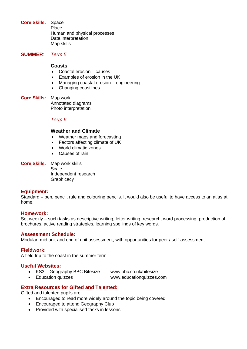**Core Skills:** Space Place Human and physical processes Data interpretation Map skills

**SUMMER**: *Term 5*

# **Coasts**

- Coastal erosion causes
- Examples of erosion in the UK
- Managing coastal erosion engineering
- Changing coastlines
- **Core Skills:** Map work Annotated diagrams Photo interpretation

# *Term 6*

# **Weather and Climate**

- Weather maps and forecasting
- Factors affecting climate of UK
- World climatic zones
- Causes of rain
- **Core Skills:** Map work skills Scale

Independent research **Graphicacy** 

# **Equipment:**

Standard – pen, pencil, rule and colouring pencils. It would also be useful to have access to an atlas at home.

# **Homework:**

Set weekly – such tasks as descriptive writing, letter writing, research, word processing, production of brochures, active reading strategies, learning spellings of key words.

# **Assessment Schedule:**

Modular, mid unit and end of unit assessment, with opportunities for peer / self-assessment

# **Fieldwork:**

A field trip to the coast in the summer term

# **Useful Websites:**

- KS3 Geography BBC Bitesize www.bbc.co.uk/bitesize
	-
- Education quizzes www.educationquizzes.com

# **Extra Resources for Gifted and Talented:**

Gifted and talented pupils are:

- Encouraged to read more widely around the topic being covered
- Encouraged to attend Geography Club
- Provided with specialised tasks in lessons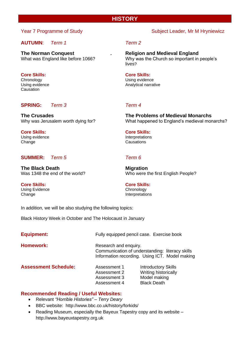# **HISTORY**

# **AUTUMN**: *Term 1 Term 2*

**The Norman Conquest . Religion and Medieval England**

# **Core Skills: Core Skills:**

Causation

# **SPRING:** *Term 3 Term 4*

**Core Skills: Core Skills:** Using evidence Interpretations Change Change Causations

# **SUMMER:** *Term 5 Term 6*

**The Black Death Migration** 

**Core Skills: Core Skills:** Using Evidence Chronology

Change **Interpretations** 

In addition, we will be also studying the following topics:

Black History Week in October and The Holocaust in January

| <b>Equipment:</b>           |                                                              | Fully equipped pencil case. Exercise book                                                                                  |  |  |
|-----------------------------|--------------------------------------------------------------|----------------------------------------------------------------------------------------------------------------------------|--|--|
| <b>Homework:</b>            |                                                              | Research and enquiry.<br>Communication of understanding: literacy skills<br>Information recording. Using ICT. Model making |  |  |
| <b>Assessment Schedule:</b> | Assessment 1<br>Assessment 2<br>Assessment 3<br>Assessment 4 | <b>Introductory Skills</b><br>Writing historically<br>Model making<br><b>Black Death</b>                                   |  |  |

# **Recommended Reading / Useful Websites:**

- Relevant *"Horrible Histories" – Terry Deary*
- BBC website: <http://www.bbc.co.uk/history/forkids/>
- Reading Museum, especially the Bayeux Tapestry copy and its website http://www.bayeuxtapestry.org.uk

# Year 7 Programme of Study Network Subject Leader, Mr M Hryniewicz

What was England like before 1066? Why was the Church so important in people's

lives?

Chronology Using evidence Using evidence **Analytical narrative** Analytical narrative

**The Crusades The Problems of Medieval Monarchs** Why was Jerusalem worth dying for? What happened to England's medieval monarchs?

Was 1348 the end of the world? Who were the first English People?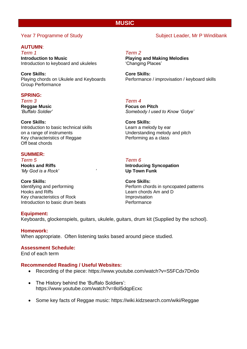# **MUSIC**

# **AUTUMN**:

*Term 1 Term 2* **Introduction to Music Playing and Making Melodies**  Introduction to keyboard and ukuleles 'Changing Places'

**Core Skills: Core Skills:** Group Performance

# **SPRING:**

*Term 3 Term 4*

**Core Skills: Core Skills:** Introduction to basic technical skills **Learn a melody by ear** on a range of instruments Understanding melody and pitch Key characteristics of Reggae Performing as a class Off beat chords

# **SUMMER:**

*Term 5 Term 6 'My God is a Rock' '* **Up Town Funk**

**Core Skills: Core Skills:** Hooks and Riffs **Learn chords** Am and D Key characteristics of Rock<br>
Introduction to basic drum beats<br>
Performance Introduction to basic drum beats

Playing chords on Ukulele and Keyboards Performance / improvisation / keyboard skills

**Reggae Music Community Community Reggae Music Procus on Pitch Focus on Pitch**<br> *Huffalo Soldier' 'Buffalo Soldier' Somebody I used to Know 'Gotye'*

**Hooks and Riffs Introducing Syncopation**

Identifying and performing **Perform chords** in syncopated patterns

# **Equipment:**

Keyboards, glockenspiels, guitars, ukulele, guitars, drum kit (Supplied by the school).

# **Homework:**

When appropriate. Often listening tasks based around piece studied.

# **Assessment Schedule:**

End of each term

# **Recommended Reading / Useful Websites:**

- Recording of the piece:<https://www.youtube.com/watch?v=S5FCdx7Dn0o>
- The History behind the 'Buffalo Soldiers': https://www.youtube.com/watch?v=8ol5dqpEcxc
- Some key facts of Reggae music:<https://wiki.kidzsearch.com/wiki/Reggae>

# Year 7 Programme of Study Network Subject Leader, Mr P Windibank